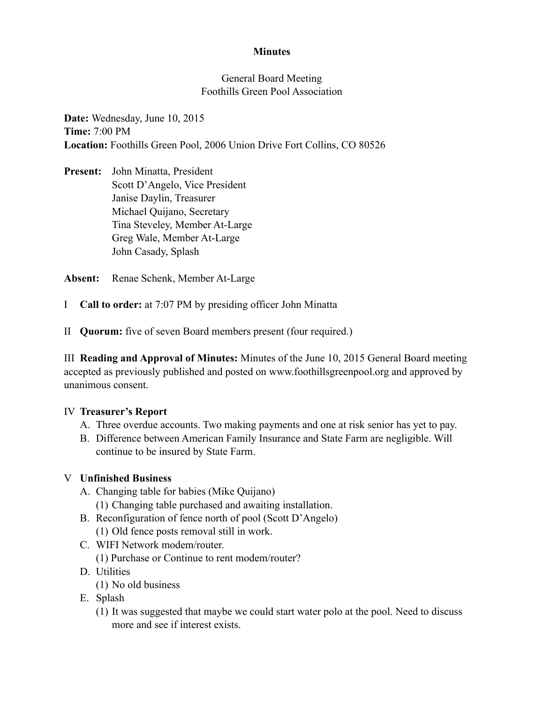### **Minutes**

### General Board Meeting Foothills Green Pool Association

**Date:** Wednesday, June 10, 2015 **Time:** 7:00 PM **Location:** Foothills Green Pool, 2006 Union Drive Fort Collins, CO 80526

**Present:** John Minatta, President Scott D'Angelo, Vice President Janise Daylin, Treasurer Michael Quijano, Secretary Tina Steveley, Member At-Large Greg Wale, Member At-Large John Casady, Splash

**Absent:** Renae Schenk, Member At-Large

- I **Call to order:** at 7:07 PM by presiding officer John Minatta
- II **Quorum:** five of seven Board members present (four required.)

III **Reading and Approval of Minutes:** Minutes of the June 10, 2015 General Board meeting accepted as previously published and posted on www.foothillsgreenpool.org and approved by unanimous consent.

#### IV **Treasurer's Report**

- A. Three overdue accounts. Two making payments and one at risk senior has yet to pay.
- B. Difference between American Family Insurance and State Farm are negligible. Will continue to be insured by State Farm.

# V **Unfinished Business**

- A. Changing table for babies (Mike Quijano)
	- (1) Changing table purchased and awaiting installation.
- B. Reconfiguration of fence north of pool (Scott D'Angelo) (1) Old fence posts removal still in work.
- C. WIFI Network modem/router.
	- (1) Purchase or Continue to rent modem/router?
- D. Utilities
	- (1) No old business
- E. Splash
	- (1) It was suggested that maybe we could start water polo at the pool. Need to discuss more and see if interest exists.